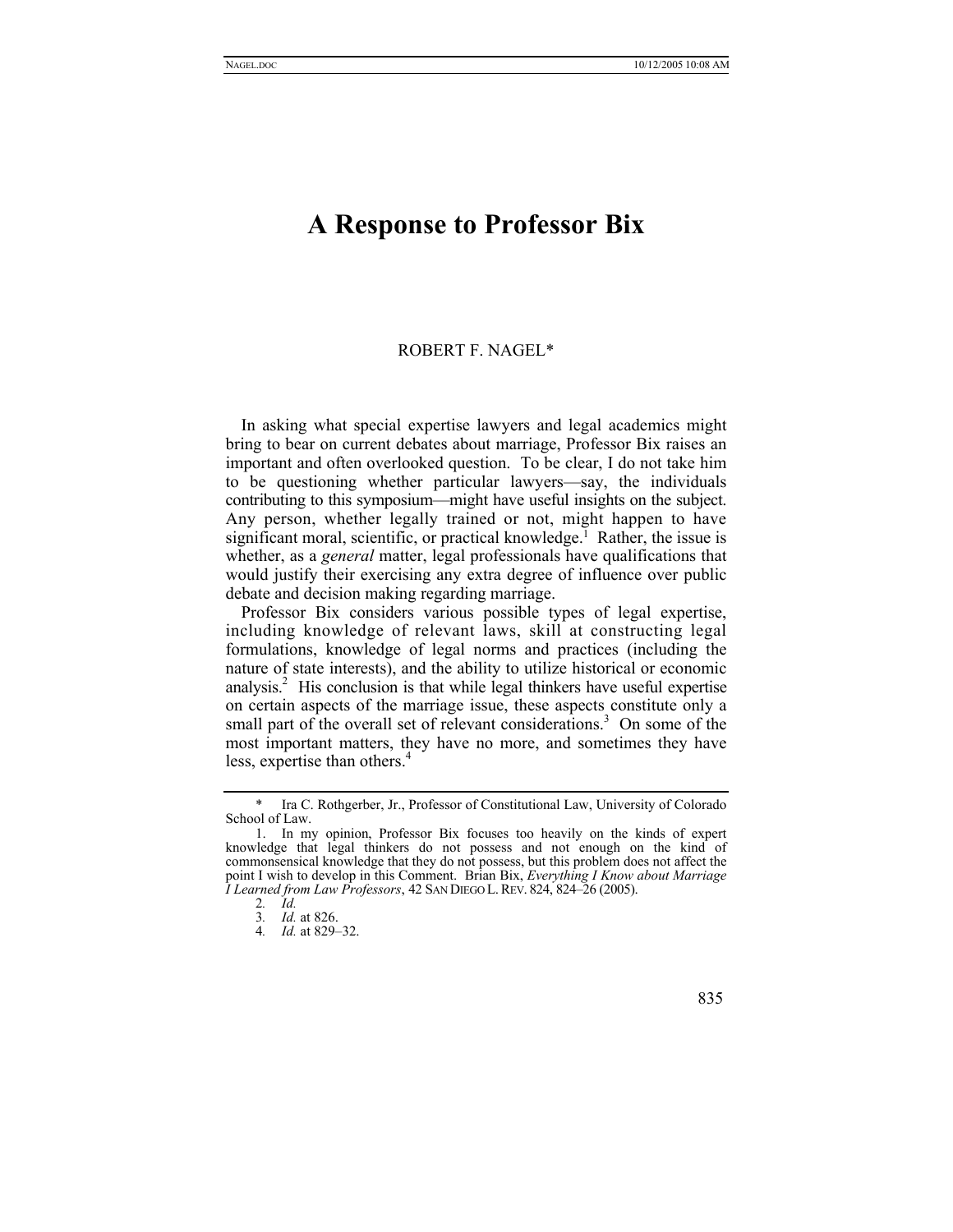## **A Response to Professor Bix**

## ROBERT F. NAGE[L\\*](#page-0-0)

In asking what special expertise lawyers and legal academics might bring to bear on current debates about marriage, Professor Bix raises an important and often overlooked question. To be clear, I do not take him to be questioning whether particular lawyers—say, the individuals contributing to this symposium—might have useful insights on the subject. Any person, whether legally trained or not, might happen to have significant moral, scientific, or practical knowledge.<sup>[1](#page-0-1)</sup> Rather, the issue is whether, as a *general* matter, legal professionals have qualifications that would justify their exercising any extra degree of influence over public debate and decision making regarding marriage.

Professor Bix considers various possible types of legal expertise, including knowledge of relevant laws, skill at constructing legal formulations, knowledge of legal norms and practices (including the nature of state interests), and the ability to utilize historical or economic analysis.<sup>[2](#page-0-2)</sup> His conclusion is that while legal thinkers have useful expertise on certain aspects of the marriage issue, these aspects constitute only a smallpart of the overall set of relevant considerations.<sup>3</sup> On some of the most important matters, they have no more, and sometimes they have less, expertise than others.<sup>[4](#page-0-4)</sup>

<sup>4</sup>*. Id.* at 829–32.



<span id="page-0-0"></span>Ira C. Rothgerber, Jr., Professor of Constitutional Law, University of Colorado School of Law.

<span id="page-0-1"></span><sup>1.</sup> In my opinion, Professor Bix focuses too heavily on the kinds of expert knowledge that legal thinkers do not possess and not enough on the kind of commonsensical knowledge that they do not possess, but this problem does not affect the point I wish to develop in this Comment. Brian Bix, *Everything I Know about Marriage I Learned from Law Professors*, 42 SAN DIEGO L.REV. 824, 824–26 (2005).

<span id="page-0-2"></span><sup>2</sup>*. Id.*

<span id="page-0-4"></span><span id="page-0-3"></span><sup>3</sup>*. Id.* at 826.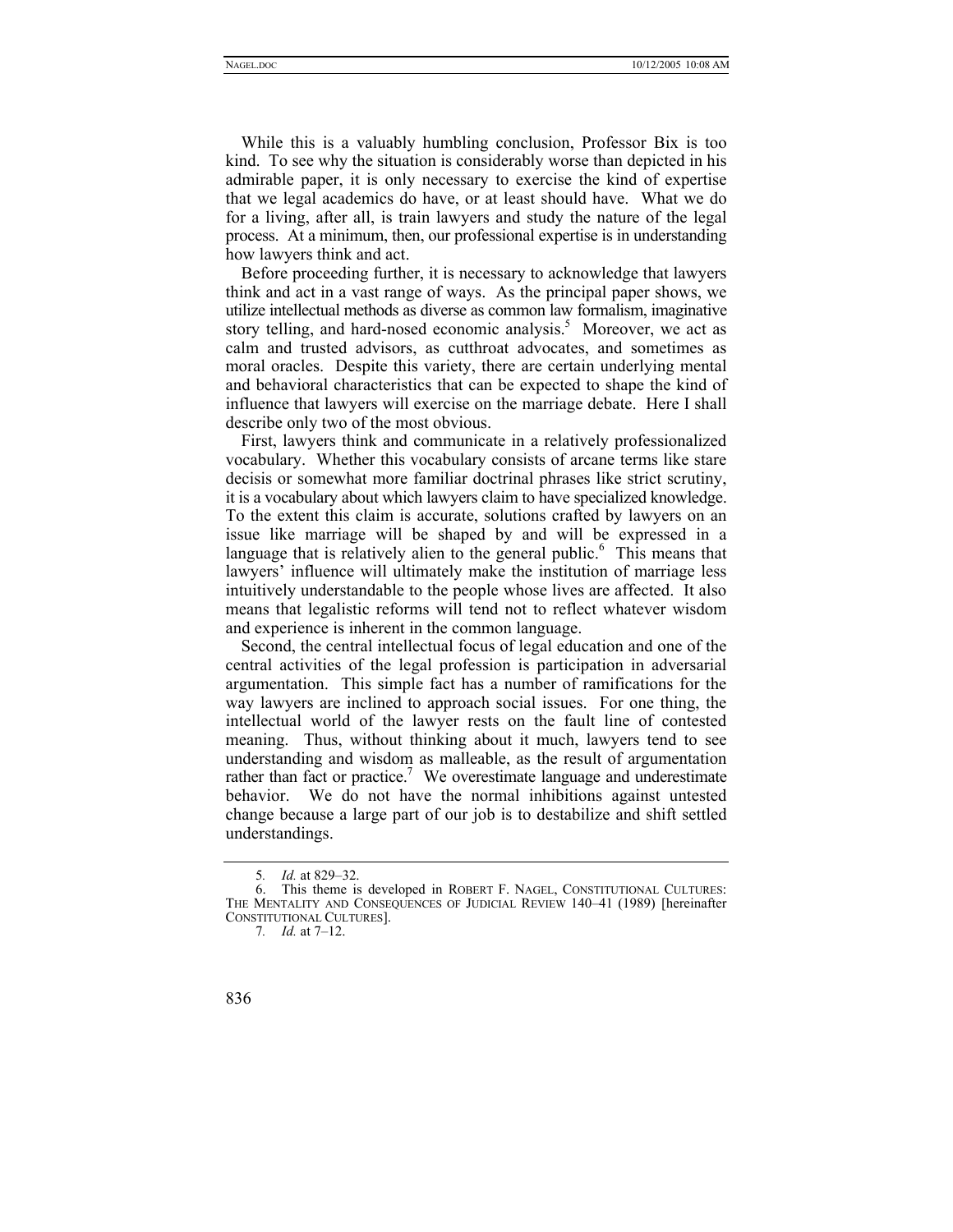While this is a valuably humbling conclusion, Professor Bix is too kind. To see why the situation is considerably worse than depicted in his admirable paper, it is only necessary to exercise the kind of expertise that we legal academics do have, or at least should have. What we do for a living, after all, is train lawyers and study the nature of the legal process. At a minimum, then, our professional expertise is in understanding how lawyers think and act.

Before proceeding further, it is necessary to acknowledge that lawyers think and act in a vast range of ways. As the principal paper shows, we utilize intellectual methods as diverse as common law formalism, imaginative story telling, and hard-nosed economic analysis.<sup>5</sup> Moreover, we act as calm and trusted advisors, as cutthroat advocates, and sometimes as moral oracles. Despite this variety, there are certain underlying mental and behavioral characteristics that can be expected to shape the kind of influence that lawyers will exercise on the marriage debate. Here I shall describe only two of the most obvious.

First, lawyers think and communicate in a relatively professionalized vocabulary. Whether this vocabulary consists of arcane terms like stare decisis or somewhat more familiar doctrinal phrases like strict scrutiny, it is a vocabulary about which lawyers claim to have specialized knowledge. To the extent this claim is accurate, solutions crafted by lawyers on an issue like marriage will be shaped by and will be expressed in a language that is relatively alien to the general public.<sup>[6](#page-1-1)</sup> This means that lawyers' influence will ultimately make the institution of marriage less intuitively understandable to the people whose lives are affected. It also means that legalistic reforms will tend not to reflect whatever wisdom and experience is inherent in the common language.

Second, the central intellectual focus of legal education and one of the central activities of the legal profession is participation in adversarial argumentation. This simple fact has a number of ramifications for the way lawyers are inclined to approach social issues. For one thing, the intellectual world of the lawyer rests on the fault line of contested meaning. Thus, without thinking about it much, lawyers tend to see understanding and wisdom as malleable, as the result of argumentation rather than fact or practice.<sup>[7](#page-1-2)</sup> We overestimate language and underestimate behavior. We do not have the normal inhibitions against untested change because a large part of our job is to destabilize and shift settled understandings.

<span id="page-1-2"></span><sup>7</sup>*. Id.* at 7–12.



<span id="page-1-1"></span><span id="page-1-0"></span><sup>5</sup>*. Id.* at 829–32.

<sup>6.</sup> This theme is developed in ROBERT F. NAGEL, CONSTITUTIONAL CULTURES: THE MENTALITY AND CONSEQUENCES OF JUDICIAL REVIEW 140–41 (1989) [hereinafter CONSTITUTIONAL CULTURES].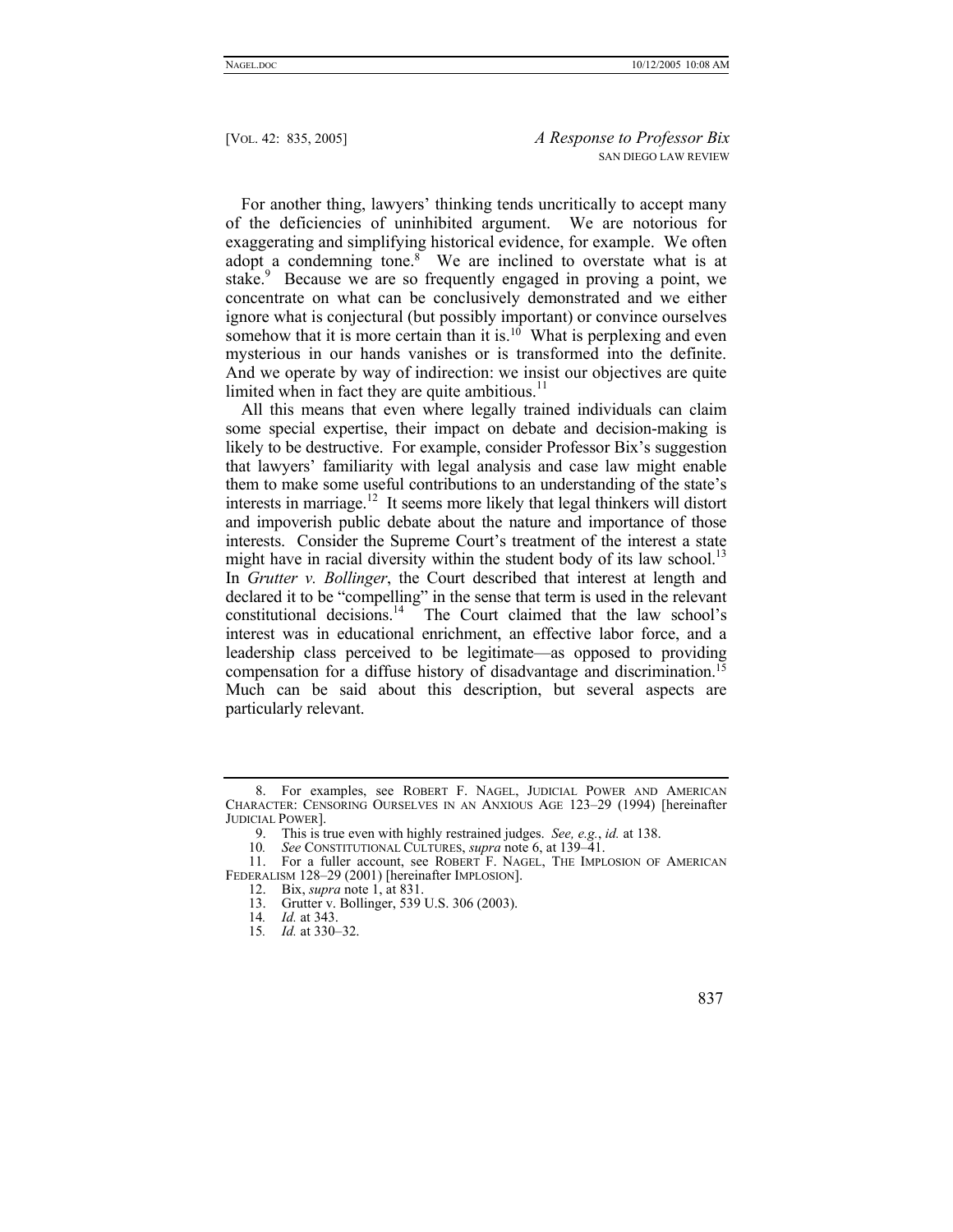For another thing, lawyers' thinking tends uncritically to accept many of the deficiencies of uninhibited argument. We are notorious for exaggerating and simplifying historical evidence, for example. We often adopt a condemning tone.<sup>8</sup> We are inclined to overstate what is at stake.<sup>[9](#page-2-1)</sup> Because we are so frequently engaged in proving a point, we concentrate on what can be conclusively demonstrated and we either ignore what is conjectural (but possibly important) or convince ourselves somehow that it is more certain than it is.<sup>[10](#page-2-2)</sup> What is perplexing and even mysterious in our hands vanishes or is transformed into the definite. And we operate by way of indirection: we insist our objectives are quite limited when in fact they are quite ambitious. $<sup>11</sup>$  $<sup>11</sup>$  $<sup>11</sup>$ </sup>

All this means that even where legally trained individuals can claim some special expertise, their impact on debate and decision-making is likely to be destructive. For example, consider Professor Bix's suggestion that lawyers' familiarity with legal analysis and case law might enable them to make some useful contributions to an understanding of the state's interests in marriage.<sup>12</sup> It seems more likely that legal thinkers will distort and impoverish public debate about the nature and importance of those interests. Consider the Supreme Court's treatment of the interest a state might have in racial diversity within the student body of its law school.<sup>13</sup> In *Grutter v. Bollinger*, the Court described that interest at length and declared it to be "compelling" in the sense that term is used in the relevant constitutional decisions.[14](#page-2-6) The Court claimed that the law school's interest was in educational enrichment, an effective labor force, and a leadership class perceived to be legitimate—as opposed to providing compensation for a diffuse history of disadvantage and discrimination.<sup>15</sup> Much can be said about this description, but several aspects are particularly relevant.

<span id="page-2-0"></span><sup>8.</sup> For examples, see ROBERT F. NAGEL, JUDICIAL POWER AND AMERICAN CHARACTER: CENSORING OURSELVES IN AN ANXIOUS AGE 123–29 (1994) [hereinafter JUDICIAL POWER].

<span id="page-2-1"></span><sup>9.</sup> This is true even with highly restrained judges. *See, e.g.*, *id.* at 138.

<span id="page-2-3"></span><span id="page-2-2"></span><sup>10</sup>*. See* CONSTITUTIONAL CULTURES, *supra* note 6, at 139–41.

<sup>11.</sup> For a fuller account, see ROBERT F. NAGEL, THE IMPLOSION OF AMERICAN FEDERALISM 128–29 (2001) [hereinafter IMPLOSION].

<span id="page-2-4"></span><sup>12.</sup> Bix, *supra* note 1, at 831.

<span id="page-2-5"></span><sup>13.</sup> Grutter v. Bollinger, 539 U.S. 306 (2003).<br>14. *Id.* at 343.

<span id="page-2-6"></span><sup>14</sup>*. Id.* at 343.

<span id="page-2-7"></span><sup>15</sup>*. Id.* at 330–32.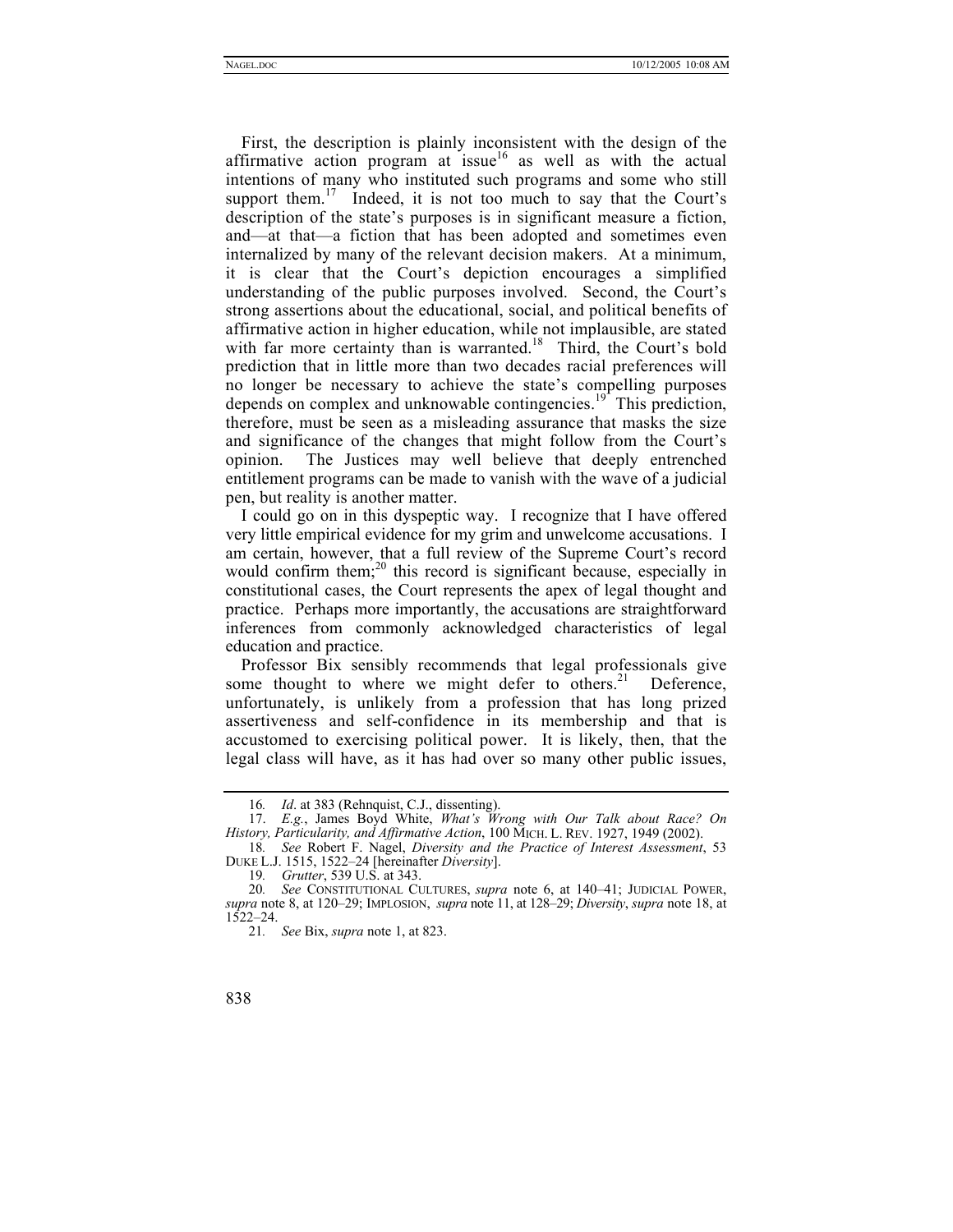First, the description is plainly inconsistent with the design of the affirmative action program at issue<sup>16</sup> as well as with the actual intentions of many who instituted such programs and some who still support them.<sup>17</sup> Indeed, it is not too much to say that the Court's description of the state's purposes is in significant measure a fiction, and—at that—a fiction that has been adopted and sometimes even internalized by many of the relevant decision makers. At a minimum, it is clear that the Court's depiction encourages a simplified understanding of the public purposes involved. Second, the Court's strong assertions about the educational, social, and political benefits of affirmative action in higher education, while not implausible, are stated with far more certainty than is warranted.<sup>18</sup> Third, the Court's bold prediction that in little more than two decades racial preferences will no longer be necessary to achieve the state's compelling purposes depends on complex and unknowable contingencies.<sup>19</sup> This prediction, therefore, must be seen as a misleading assurance that masks the size and significance of the changes that might follow from the Court's opinion. The Justices may well believe that deeply entrenched entitlement programs can be made to vanish with the wave of a judicial pen, but reality is another matter.

I could go on in this dyspeptic way. I recognize that I have offered very little empirical evidence for my grim and unwelcome accusations. I am certain, however, that a full review of the Supreme Court's record would confirm them; $^{20}$  this record is significant because, especially in constitutional cases, the Court represents the apex of legal thought and practice. Perhaps more importantly, the accusations are straightforward inferences from commonly acknowledged characteristics of legal education and practice.

Professor Bix sensibly recommends that legal professionals give some thought to where we might defer to others.<sup>21</sup> Deference, unfortunately, is unlikely from a profession that has long prized assertiveness and self-confidence in its membership and that is accustomed to exercising political power. It is likely, then, that the legal class will have, as it has had over so many other public issues,

<span id="page-3-1"></span><span id="page-3-0"></span><sup>16</sup>*. Id*. at 383 (Rehnquist, C.J., dissenting).

<sup>17.</sup> *E.g.*, James Boyd White, *What's Wrong with Our Talk about Race? On History, Particularity, and Affirmative Action*, 100 MICH. L. REV. 1927, 1949 (2002).

<span id="page-3-2"></span><sup>18</sup>*. See* Robert F. Nagel, *Diversity and the Practice of Interest Assessment*, 53 DUKE L.J. 1515, 1522–24 [hereinafter *Diversity*].

<span id="page-3-4"></span><span id="page-3-3"></span><sup>19</sup>*. Grutter*, 539 U.S. at 343.

<sup>20</sup>*. See* CONSTITUTIONAL CULTURES, *supra* note 6, at 140–41; JUDICIAL POWER, *supra* note 8, at 120–29; IMPLOSION, *supra* note 11, at 128–29; *Diversity*, *supra* note 18, at 1522–24.

<span id="page-3-5"></span><sup>21</sup>*. See* Bix, *supra* note 1, at 823.

<sup>838</sup>